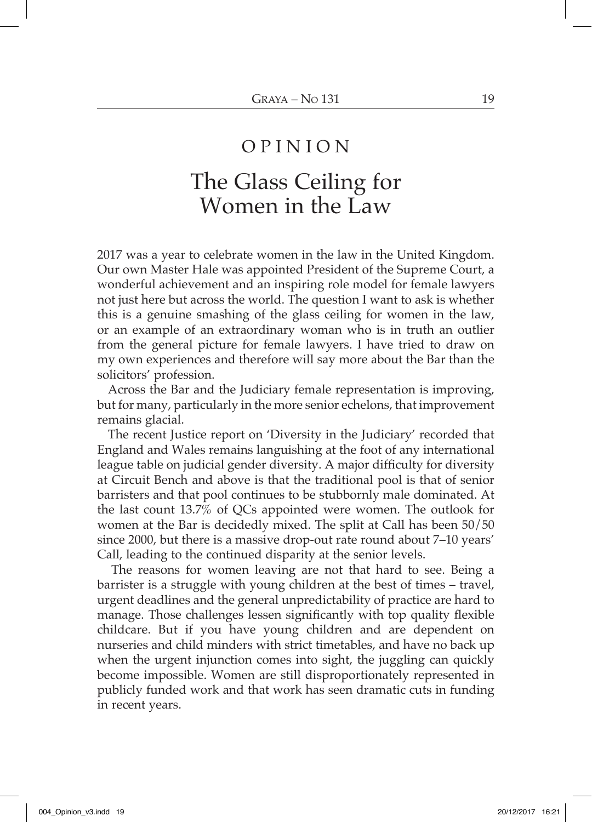## O P I N I O N

## The Glass Ceiling for Women in the Law

2017 was a year to celebrate women in the law in the United Kingdom. Our own Master Hale was appointed President of the Supreme Court, a wonderful achievement and an inspiring role model for female lawyers not just here but across the world. The question I want to ask is whether this is a genuine smashing of the glass ceiling for women in the law, or an example of an extraordinary woman who is in truth an outlier from the general picture for female lawyers. I have tried to draw on my own experiences and therefore will say more about the Bar than the solicitors' profession.

Across the Bar and the Judiciary female representation is improving, but for many, particularly in the more senior echelons, that improvement remains glacial.

The recent Justice report on 'Diversity in the Judiciary' recorded that England and Wales remains languishing at the foot of any international league table on judicial gender diversity. A major difficulty for diversity at Circuit Bench and above is that the traditional pool is that of senior barristers and that pool continues to be stubbornly male dominated. At the last count 13.7% of QCs appointed were women. The outlook for women at the Bar is decidedly mixed. The split at Call has been 50/50 since 2000, but there is a massive drop-out rate round about 7–10 years' Call, leading to the continued disparity at the senior levels.

The reasons for women leaving are not that hard to see. Being a barrister is a struggle with young children at the best of times – travel, urgent deadlines and the general unpredictability of practice are hard to manage. Those challenges lessen significantly with top quality flexible childcare. But if you have young children and are dependent on nurseries and child minders with strict timetables, and have no back up when the urgent injunction comes into sight, the juggling can quickly become impossible. Women are still disproportionately represented in publicly funded work and that work has seen dramatic cuts in funding in recent years.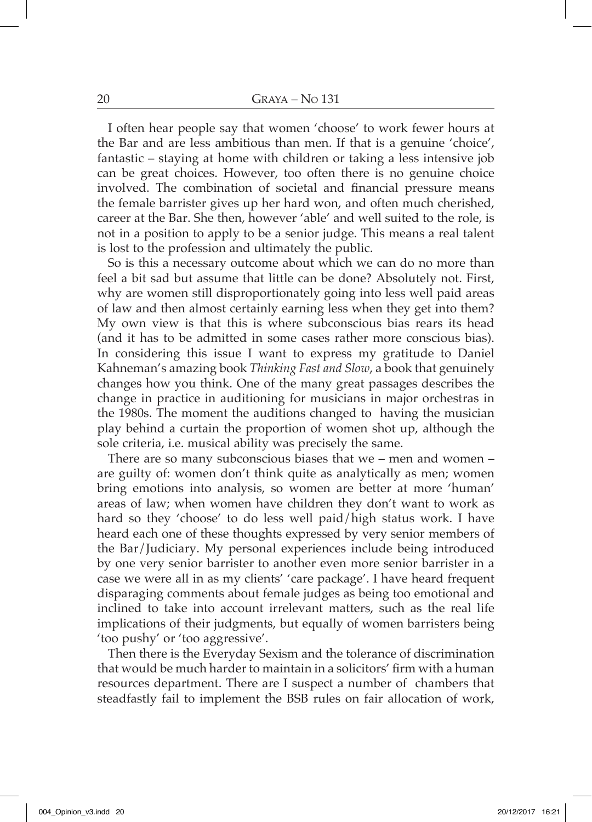I often hear people say that women 'choose' to work fewer hours at the Bar and are less ambitious than men. If that is a genuine 'choice', fantastic – staying at home with children or taking a less intensive job can be great choices. However, too often there is no genuine choice involved. The combination of societal and financial pressure means the female barrister gives up her hard won, and often much cherished, career at the Bar. She then, however 'able' and well suited to the role, is not in a position to apply to be a senior judge. This means a real talent is lost to the profession and ultimately the public.

So is this a necessary outcome about which we can do no more than feel a bit sad but assume that little can be done? Absolutely not. First, why are women still disproportionately going into less well paid areas of law and then almost certainly earning less when they get into them? My own view is that this is where subconscious bias rears its head (and it has to be admitted in some cases rather more conscious bias). In considering this issue I want to express my gratitude to Daniel Kahneman's amazing book *Thinking Fast and Slow*, a book that genuinely changes how you think. One of the many great passages describes the change in practice in auditioning for musicians in major orchestras in the 1980s. The moment the auditions changed to having the musician play behind a curtain the proportion of women shot up, although the sole criteria, i.e. musical ability was precisely the same.

There are so many subconscious biases that we – men and women – are guilty of: women don't think quite as analytically as men; women bring emotions into analysis, so women are better at more 'human' areas of law; when women have children they don't want to work as hard so they 'choose' to do less well paid/high status work. I have heard each one of these thoughts expressed by very senior members of the Bar/Judiciary. My personal experiences include being introduced by one very senior barrister to another even more senior barrister in a case we were all in as my clients' 'care package'. I have heard frequent disparaging comments about female judges as being too emotional and inclined to take into account irrelevant matters, such as the real life implications of their judgments, but equally of women barristers being 'too pushy' or 'too aggressive'.

Then there is the Everyday Sexism and the tolerance of discrimination that would be much harder to maintain in a solicitors' firm with a human resources department. There are I suspect a number of chambers that steadfastly fail to implement the BSB rules on fair allocation of work,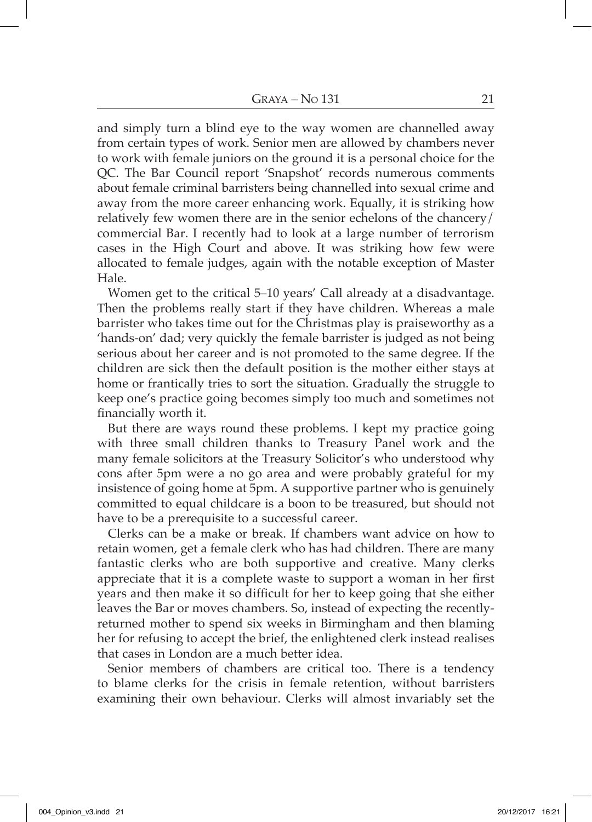and simply turn a blind eye to the way women are channelled away from certain types of work. Senior men are allowed by chambers never to work with female juniors on the ground it is a personal choice for the QC. The Bar Council report 'Snapshot' records numerous comments about female criminal barristers being channelled into sexual crime and away from the more career enhancing work. Equally, it is striking how relatively few women there are in the senior echelons of the chancery/ commercial Bar. I recently had to look at a large number of terrorism cases in the High Court and above. It was striking how few were allocated to female judges, again with the notable exception of Master Hale.

Women get to the critical 5–10 years' Call already at a disadvantage. Then the problems really start if they have children. Whereas a male barrister who takes time out for the Christmas play is praiseworthy as a 'hands-on' dad; very quickly the female barrister is judged as not being serious about her career and is not promoted to the same degree. If the children are sick then the default position is the mother either stays at home or frantically tries to sort the situation. Gradually the struggle to keep one's practice going becomes simply too much and sometimes not financially worth it.

But there are ways round these problems. I kept my practice going with three small children thanks to Treasury Panel work and the many female solicitors at the Treasury Solicitor's who understood why cons after 5pm were a no go area and were probably grateful for my insistence of going home at 5pm. A supportive partner who is genuinely committed to equal childcare is a boon to be treasured, but should not have to be a prerequisite to a successful career.

Clerks can be a make or break. If chambers want advice on how to retain women, get a female clerk who has had children. There are many fantastic clerks who are both supportive and creative. Many clerks appreciate that it is a complete waste to support a woman in her first years and then make it so difficult for her to keep going that she either leaves the Bar or moves chambers. So, instead of expecting the recentlyreturned mother to spend six weeks in Birmingham and then blaming her for refusing to accept the brief, the enlightened clerk instead realises that cases in London are a much better idea.

Senior members of chambers are critical too. There is a tendency to blame clerks for the crisis in female retention, without barristers examining their own behaviour. Clerks will almost invariably set the